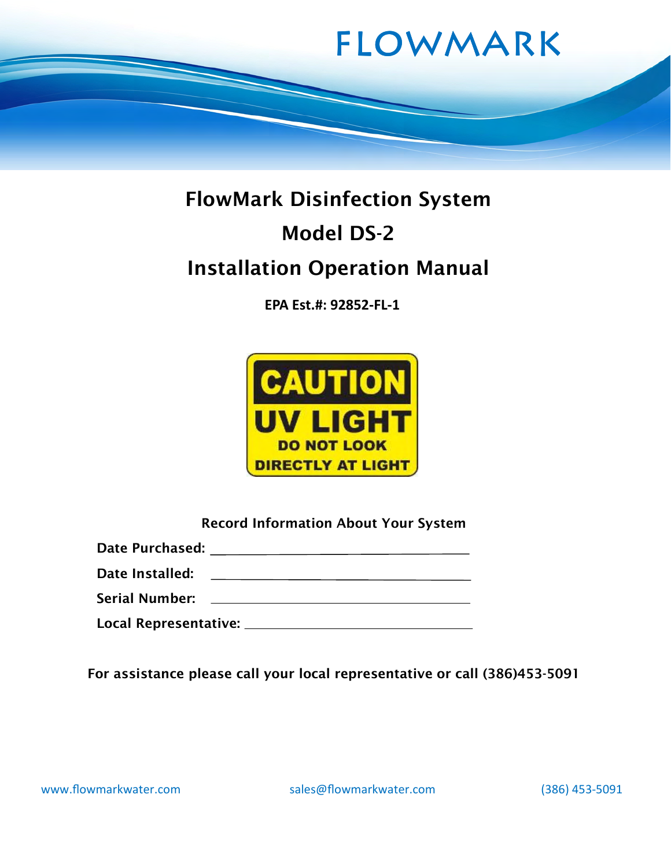

# FlowMark Disinfection System Model DS-2 Installation Operation Manual

EPA Est.#: 92852-FL-1



Record Information About Your System

Date Purchased:

Date Installed: The *Date Installed*:

Serial Number:

Local Representative:

For assistance please call your local representative or call (386)453-5091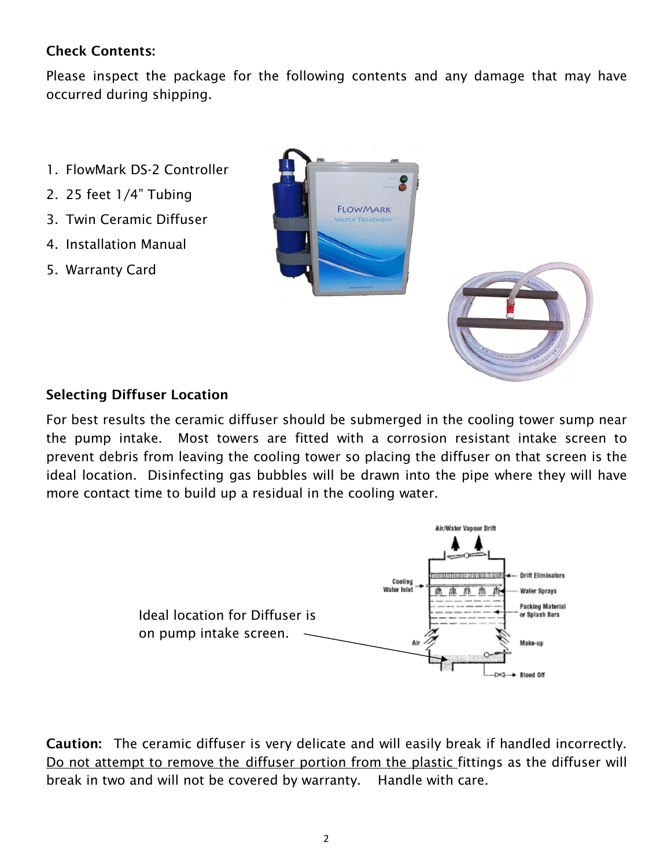## Check Contents:

Please inspect the package for the following contents and any damage that may have occurred during shipping.

- 1. FlowMark DS-2 Controller
- 2. 25 feet 1/4" Tubing
- 3. Twin Ceramic Diffuser
- 4. Installation Manual
- 5. Warranty Card





#### Selecting Diffuser Location

For best results the ceramic diffuser should be submerged in the cooling tower sump near the pump intake. Most towers are fitted with a corrosion resistant intake screen to prevent debris from leaving the cooling tower so placing the diffuser on that screen is the ideal location. Disinfecting gas bubbles will be drawn into the pipe where they will have more contact time to build up a residual in the cooling water.



Caution: The ceramic diffuser is very delicate and will easily break if handled incorrectly. Do not attempt to remove the diffuser portion from the plastic fittings as the diffuser will break in two and will not be covered by warranty. Handle with care.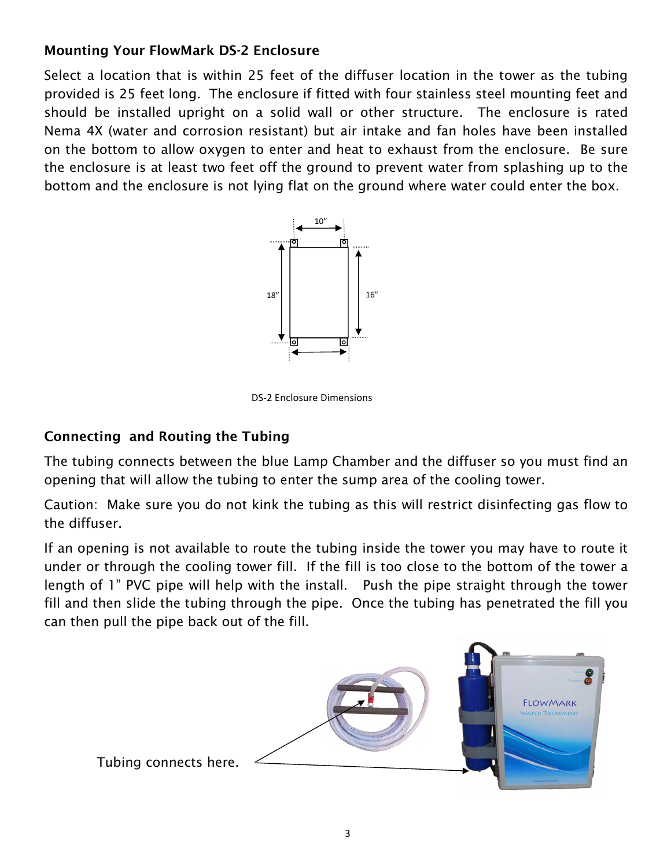## Mounting Your FlowMark DS-2 Enclosure

Select a location that is within 25 feet of the diffuser location in the tower as the tubing provided is 25 feet long. The enclosure if fitted with four stainless steel mounting feet and should be installed upright on a solid wall or other structure. The enclosure is rated Nema 4X (water and corrosion resistant) but air intake and fan holes have been installed on the bottom to allow oxygen to enter and heat to exhaust from the enclosure. Be sure the enclosure is at least two feet off the ground to prevent water from splashing up to the bottom and the enclosure is not lying flat on the ground where water could enter the box.



DS-2 Enclosure Dimensions

## Connecting and Routing the Tubing

The tubing connects between the blue Lamp Chamber and the diffuser so you must find an opening that will allow the tubing to enter the sump area of the cooling tower.

Caution: Make sure you do not kink the tubing as this will restrict disinfecting gas flow to the diffuser.

If an opening is not available to route the tubing inside the tower you may have to route it under or through the cooling tower fill. If the fill is too close to the bottom of the tower a length of 1" PVC pipe will help with the install. Push the pipe straight through the tower fill and then slide the tubing through the pipe. Once the tubing has penetrated the fill you can then pull the pipe back out of the fill.

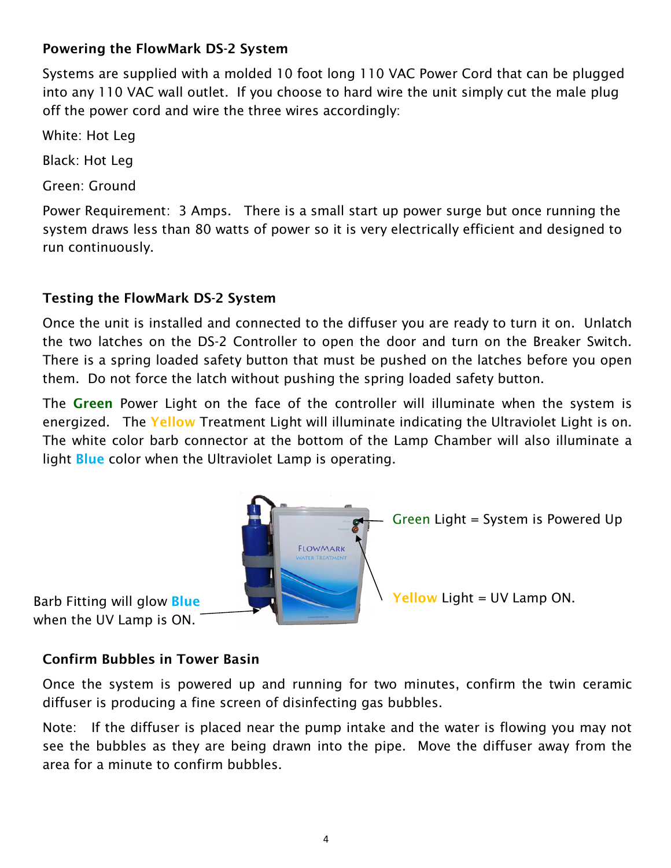#### Powering the FlowMark DS-2 System

Systems are supplied with a molded 10 foot long 110 VAC Power Cord that can be plugged into any 110 VAC wall outlet. If you choose to hard wire the unit simply cut the male plug off the power cord and wire the three wires accordingly:

White: Hot Leg

Black: Hot Leg

Green: Ground

Power Requirement: 3 Amps. There is a small start up power surge but once running the system draws less than 80 watts of power so it is very electrically efficient and designed to run continuously.

## Testing the FlowMark DS-2 System

Once the unit is installed and connected to the diffuser you are ready to turn it on. Unlatch the two latches on the DS-2 Controller to open the door and turn on the Breaker Switch. There is a spring loaded safety button that must be pushed on the latches before you open them. Do not force the latch without pushing the spring loaded safety button.

The Green Power Light on the face of the controller will illuminate when the system is energized. The Yellow Treatment Light will illuminate indicating the Ultraviolet Light is on. The white color barb connector at the bottom of the Lamp Chamber will also illuminate a light **Blue** color when the Ultraviolet Lamp is operating.



when the UV Lamp is ON.

Green Light = System is Powered Up

### Confirm Bubbles in Tower Basin

Once the system is powered up and running for two minutes, confirm the twin ceramic diffuser is producing a fine screen of disinfecting gas bubbles.

Note: If the diffuser is placed near the pump intake and the water is flowing you may not see the bubbles as they are being drawn into the pipe. Move the diffuser away from the area for a minute to confirm bubbles.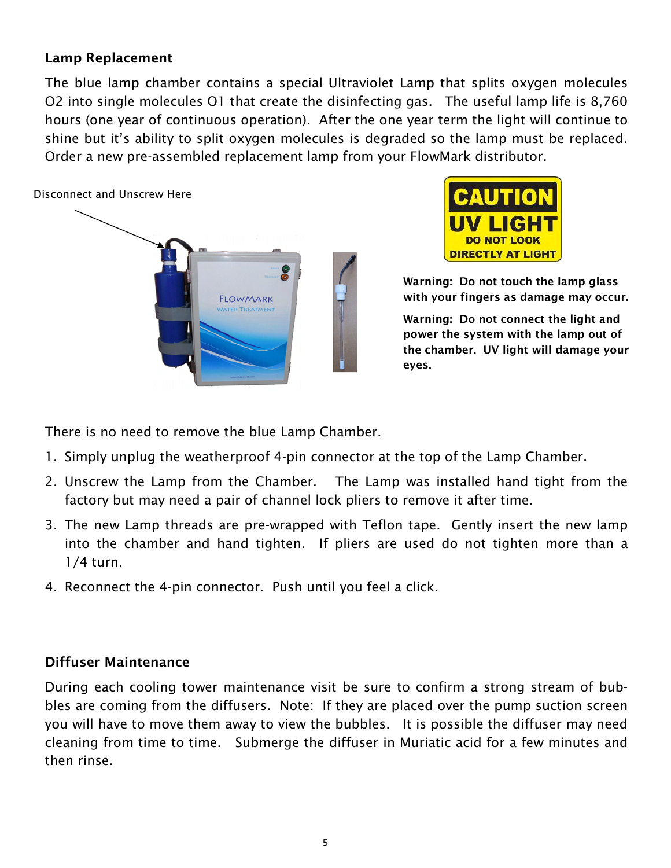#### Lamp Replacement

The blue lamp chamber contains a special Ultraviolet Lamp that splits oxygen molecules O2 into single molecules O1 that create the disinfecting gas. The useful lamp life is 8,760 hours (one year of continuous operation). After the one year term the light will continue to shine but it's ability to split oxygen molecules is degraded so the lamp must be replaced. Order a new pre-assembled replacement lamp from your FlowMark distributor.





Warning: Do not touch the lamp glass with your fingers as damage may occur.

Warning: Do not connect the light and power the system with the lamp out of the chamber. UV light will damage your eyes.

There is no need to remove the blue Lamp Chamber.

- 1. Simply unplug the weatherproof 4-pin connector at the top of the Lamp Chamber.
- 2. Unscrew the Lamp from the Chamber. The Lamp was installed hand tight from the factory but may need a pair of channel lock pliers to remove it after time.
- 3. The new Lamp threads are pre-wrapped with Teflon tape. Gently insert the new lamp into the chamber and hand tighten. If pliers are used do not tighten more than a 1/4 turn.
- 4. Reconnect the 4-pin connector. Push until you feel a click.

### Diffuser Maintenance

During each cooling tower maintenance visit be sure to confirm a strong stream of bubbles are coming from the diffusers. Note: If they are placed over the pump suction screen you will have to move them away to view the bubbles. It is possible the diffuser may need cleaning from time to time. Submerge the diffuser in Muriatic acid for a few minutes and then rinse.